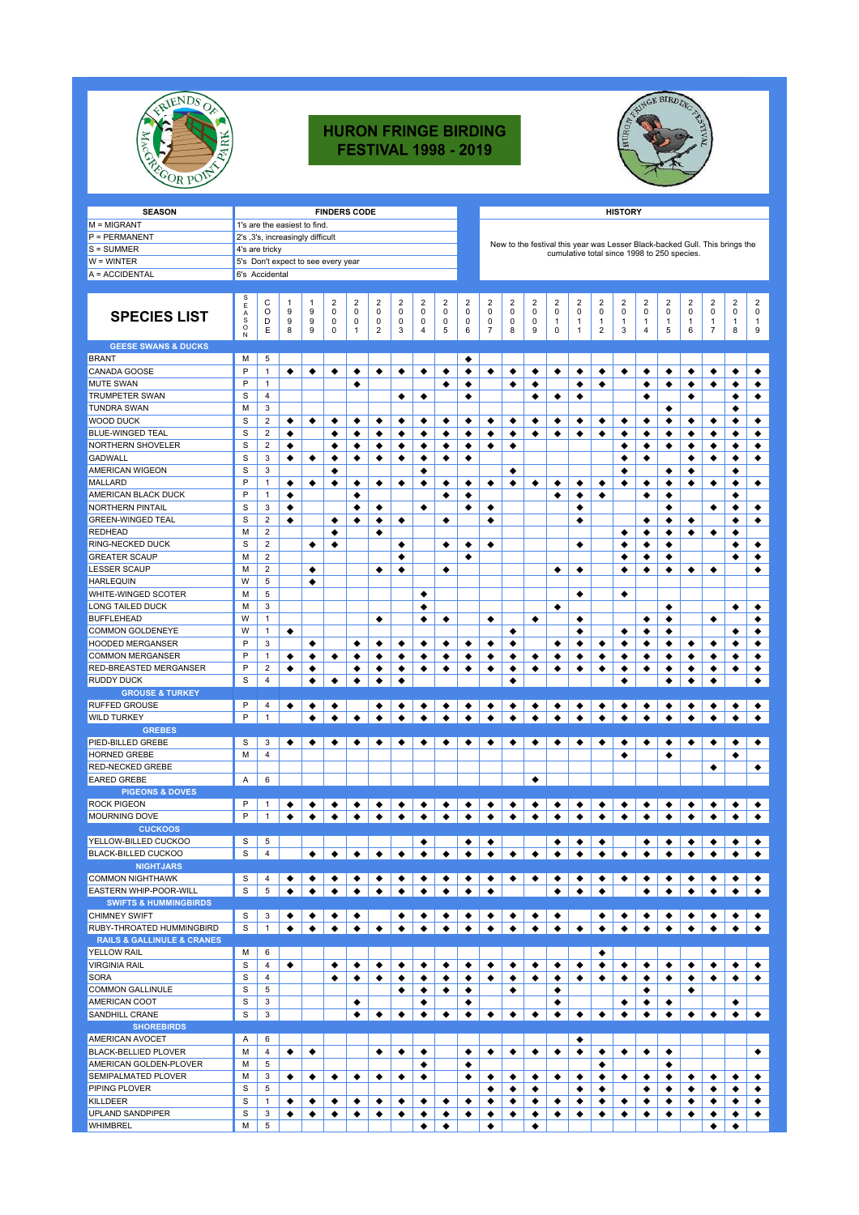

## **HURON FRINGE BIRDING FESTIVAL 1998 - 2019**



| <b>SEASON</b>                             | <b>FINDERS CODE</b>           |                                  |        |        |                                    |        |                         |                               |                 |           |                  |                 |                               |                  |                                                                             |              |                         | <b>HISTORY</b>                         |                     |        |                  |                     |        |                                        |
|-------------------------------------------|-------------------------------|----------------------------------|--------|--------|------------------------------------|--------|-------------------------|-------------------------------|-----------------|-----------|------------------|-----------------|-------------------------------|------------------|-----------------------------------------------------------------------------|--------------|-------------------------|----------------------------------------|---------------------|--------|------------------|---------------------|--------|----------------------------------------|
| M = MIGRANT                               |                               | 1's are the easiest to find.     |        |        |                                    |        |                         |                               |                 |           |                  |                 |                               |                  |                                                                             |              |                         |                                        |                     |        |                  |                     |        |                                        |
| $P = PERMANENT$                           |                               | 2's ,3's, increasingly difficult |        |        |                                    |        |                         |                               |                 |           |                  |                 |                               |                  |                                                                             |              |                         |                                        |                     |        |                  |                     |        |                                        |
| $S = SUMMARY$                             |                               | 4's are tricky                   |        |        |                                    |        |                         |                               |                 |           |                  |                 |                               |                  | New to the festival this year was Lesser Black-backed Gull. This brings the |              |                         |                                        |                     |        |                  |                     |        |                                        |
| W = WINTER                                |                               |                                  |        |        | 5's Don't expect to see every year |        |                         |                               |                 |           |                  |                 |                               |                  | cumulative total since 1998 to 250 species.                                 |              |                         |                                        |                     |        |                  |                     |        |                                        |
| A = ACCIDENTAL                            | 6's Accidental                |                                  |        |        |                                    |        |                         |                               |                 |           |                  |                 |                               |                  |                                                                             |              |                         |                                        |                     |        |                  |                     |        |                                        |
|                                           |                               |                                  |        |        |                                    |        |                         |                               |                 |           |                  |                 |                               |                  |                                                                             |              |                         |                                        |                     |        |                  |                     |        |                                        |
|                                           | s                             |                                  |        |        |                                    |        |                         |                               |                 |           |                  |                 |                               |                  |                                                                             |              |                         |                                        |                     |        |                  |                     |        |                                        |
|                                           | Е                             | C<br>O                           | 1<br>9 | 1<br>9 | 2<br>0                             | 2<br>0 | 2<br>0                  | $\overline{2}$<br>$\mathbf 0$ | 2<br>0          | 2<br>0    | 2<br>$\mathbf 0$ | 2<br>0          | $\overline{2}$<br>$\mathbf 0$ | 2<br>$\mathbf 0$ | $\overline{2}$<br>0                                                         | 2<br>0       | 2<br>0                  | $\overline{\mathbf{2}}$<br>$\mathbf 0$ | $\overline{2}$<br>0 | 2<br>0 | 2<br>$\mathbf 0$ | $\overline{2}$<br>0 | 2<br>0 | $\overline{\mathbf{2}}$<br>$\mathbf 0$ |
| <b>SPECIES LIST</b>                       | $_{\rm S}^{\rm A}$<br>$\circ$ | D                                | 9      | 9      | 0                                  | 0      | 0                       | 0                             | 0               | 0         | 0                | 0               | 0                             | 0                | 1                                                                           | $\mathbf{1}$ | 1                       | $\mathbf{1}$                           | $\mathbf{1}$        | 1      | 1                | $\mathbf{1}$        | 1      | $\mathbf{1}$                           |
|                                           | N                             | Ε                                | 8      | 9      | 0                                  | 1      | $\overline{\mathbf{c}}$ | 3                             | 4               | 5         | 6                | 7               | 8                             | 9                | 0                                                                           | $\mathbf{1}$ | $\overline{\mathbf{c}}$ | 3                                      | $\overline{4}$      | 5      | 6                | $\overline{7}$      | 8      | 9                                      |
| <b>GEESE SWANS &amp; DUCKS</b>            |                               |                                  |        |        |                                    |        |                         |                               |                 |           |                  |                 |                               |                  |                                                                             |              |                         |                                        |                     |        |                  |                     |        |                                        |
| <b>BRANT</b>                              | M                             | 5                                |        |        |                                    |        |                         |                               |                 |           | ٠                |                 |                               |                  |                                                                             |              |                         |                                        |                     |        |                  |                     |        |                                        |
| CANADA GOOSE                              | P                             | $\mathbf{1}$                     | ٠      | ٠      | ٠                                  | ٠      | ٠                       | ٠                             | ٠               | ٠         | ٠                | ٠               | ٠                             | ٠                | ٠                                                                           | ٠            | ٠                       | ٠                                      | ٠                   | ٠      | ٠                | ٠                   | ٠      | ٠                                      |
| <b>MUTE SWAN</b>                          | P                             | $\mathbf{1}$                     |        |        |                                    | ٠      |                         |                               |                 | ٠         | ٠                |                 | ٠                             | ٠                |                                                                             | ٠            | ٠                       |                                        | ٠                   | ٠      | ٠                | ٠                   | ٠      | ٠                                      |
| <b>TRUMPETER SWAN</b>                     | S                             | $\overline{4}$                   |        |        |                                    |        |                         | ٠                             | ٠               |           | ٠                |                 |                               | ٠                | ٠                                                                           | ٠            |                         |                                        | ٠                   |        | ٠                |                     | ٠      | ٠                                      |
| <b>TUNDRA SWAN</b>                        | M                             | 3                                |        |        |                                    |        |                         |                               |                 |           |                  |                 |                               |                  |                                                                             |              |                         |                                        |                     | ٠      |                  |                     | ٠      |                                        |
| <b>WOOD DUCK</b>                          | S                             | $\overline{2}$                   | ٠      | ٠      | ٠                                  | ٠      | ٠                       | ٠                             | ٠               | ٠         | ٠                | ٠               | ٠                             | ٠                | ٠                                                                           | ٠            | ٠                       | ٠                                      | ٠                   | ٠      | ٠                | ٠                   | ٠      | ٠                                      |
| <b>BLUE-WINGED TEAL</b>                   | S                             | $\overline{\mathbf{c}}$          | ٠      |        | ٠                                  | ٠      | ٠                       | ٠                             | ٠               | ٠         | ٠                | ٠               | ٠                             | ٠                | ٠                                                                           | ٠            | ٠                       | ٠                                      | ٠                   | ٠      | ٠                | ٠                   | ٠      | ٠                                      |
| NORTHERN SHOVELER                         | S                             | $\overline{\mathbf{2}}$          | ٠      |        | ٠                                  | ٠      | ٠                       | ٠                             | ٠               | ٠         | ٠                | ٠               | ٠                             |                  |                                                                             |              |                         | ٠                                      | ٠                   | ٠      | ٠                | ٠                   | ٠      | ٠                                      |
| <b>GADWALL</b>                            | S                             | 3                                | ٠      | ٠      | ٠                                  | ٠      | ٠                       | ٠                             | ٠               | ٠         | ٠                |                 |                               |                  |                                                                             |              |                         | ٠                                      | ٠                   |        | ٠                | ٠                   | ٠      | ٠                                      |
| <b>AMERICAN WIGEON</b>                    | S                             | 3                                |        |        | ٠                                  |        |                         |                               | ٠               |           |                  |                 | ٠                             |                  |                                                                             |              |                         | ٠                                      |                     | ٠      | ٠                |                     | ٠      |                                        |
| <b>MALLARD</b>                            | P                             | $\mathbf{1}$                     | ٠      | ٠      | ٠                                  | ٠      | ٠                       | ٠                             | ٠               | ٠         | ٠                | ٠               | ٠                             | ٠                | ٠                                                                           | ٠            | ٠                       | ٠                                      | ٠                   | ٠      | ٠                | ٠                   | ٠      | ٠                                      |
| AMERICAN BLACK DUCK                       | P                             | $\mathbf{1}$                     | ٠      |        |                                    | ٠      |                         |                               |                 | ٠         | ٠                |                 |                               |                  | ٠                                                                           | ٠            | ٠                       |                                        | ٠                   | ٠      |                  |                     | ٠      |                                        |
| <b>NORTHERN PINTAIL</b>                   | S                             | 3                                | ٠      |        |                                    | ٠      | ٠                       |                               | ٠               |           | ٠                | ٠               |                               |                  |                                                                             | ٠            |                         |                                        |                     | ٠      |                  | ٠                   | ٠      | ٠                                      |
| <b>GREEN-WINGED TEAL</b>                  | S                             | $\overline{\mathbf{c}}$          | ٠      |        | ٠                                  | ٠      | ٠                       | ٠                             |                 | ٠         |                  | ٠               |                               |                  |                                                                             | ٠            |                         |                                        | ٠                   | ٠      | ٠                |                     | ٠      | ٠                                      |
| <b>REDHEAD</b>                            | M                             | $\overline{2}$                   |        |        | ٠                                  |        | ٠                       |                               |                 |           |                  |                 |                               |                  |                                                                             |              |                         | ٠                                      | ٠                   | ٠      | ٠                | ٠                   | ٠      |                                        |
| <b>RING-NECKED DUCK</b>                   | S                             | $\overline{2}$                   |        | ٠      | ٠                                  |        |                         | ٠                             |                 | ٠         | ٠                | ٠               |                               |                  |                                                                             | ٠            |                         | ٠                                      | ٠                   | ٠      |                  |                     | ٠      | ٠                                      |
| <b>GREATER SCAUP</b>                      | M                             | $\overline{\mathbf{c}}$          |        |        |                                    |        |                         | ٠                             |                 |           | ٠                |                 |                               |                  |                                                                             |              |                         | ٠                                      | ٠                   | ٠      |                  |                     | ٠      | ٠                                      |
| <b>LESSER SCAUP</b>                       | M                             | $\overline{2}$                   |        | ٠      |                                    |        | ٠                       | ٠                             |                 | ٠         |                  |                 |                               |                  | ٠                                                                           | ٠            |                         | ٠                                      | ٠                   | ٠      | ٠                | ٠                   |        | ٠                                      |
| <b>HARLEQUIN</b>                          | W                             | 5                                |        | ٠      |                                    |        |                         |                               |                 |           |                  |                 |                               |                  |                                                                             |              |                         |                                        |                     |        |                  |                     |        |                                        |
| WHITE-WINGED SCOTER                       | M                             | 5                                |        |        |                                    |        |                         |                               | ٠               |           |                  |                 |                               |                  |                                                                             | ٠            |                         | ٠                                      |                     |        |                  |                     |        |                                        |
| LONG TAILED DUCK                          | M                             | 3                                |        |        |                                    |        |                         |                               | ٠               |           |                  |                 |                               |                  | ٠                                                                           |              |                         |                                        |                     | ٠      |                  |                     | ٠      | ٠                                      |
| <b>BUFFLEHEAD</b>                         | W                             | $\mathbf{1}$                     |        |        |                                    |        | ٠                       |                               | ٠               | ٠         |                  | ٠               |                               | ٠                |                                                                             | ٠            |                         |                                        | ٠                   | ٠      |                  | ٠                   |        | ٠                                      |
| <b>COMMON GOLDENEYE</b>                   | W                             | 1                                | ٠      |        |                                    |        |                         |                               |                 |           |                  |                 | ٠                             |                  |                                                                             | ٠            |                         | ٠                                      | ٠                   | ٠      |                  |                     | ٠      | ٠                                      |
| HOODED MERGANSER                          | P                             | 3                                |        | ٠      |                                    | ٠      | ٠                       | ٠                             | ٠               | ٠         | ٠                | ٠               | ٠                             |                  | ٠                                                                           | ٠            | ٠                       | ٠                                      | ٠                   | ٠      | ٠                | ٠                   | ٠      | ٠                                      |
| <b>COMMON MERGANSER</b>                   | P                             | $\mathbf{1}$                     | ٠      | ٠      | ٠                                  | ٠      | ٠                       | ٠                             | ٠               | ٠         | ٠                | ٠               | ٠                             | ٠                | ٠                                                                           | ٠            | ٠                       | ٠                                      | ٠                   | ٠      | ٠                | ٠                   | ٠      | ٠                                      |
| <b>RED-BREASTED MERGANSER</b>             | P                             | $\overline{2}$                   | ٠      | ٠      |                                    | ٠      | ٠                       | ٠                             | ٠               | ٠         | ٠                | ٠               | ٠                             | ٠                | ٠                                                                           | ٠            | ٠                       | ٠                                      | ٠                   | ٠      | ٠                | ٠                   | ٠      | ٠                                      |
| <b>RUDDY DUCK</b>                         | S                             | 4                                |        |        |                                    |        | ٠                       |                               |                 |           |                  |                 | ٠                             |                  |                                                                             |              |                         |                                        |                     |        |                  |                     |        | ٠                                      |
| <b>GROUSE &amp; TURKEY</b>                |                               |                                  |        |        |                                    |        |                         |                               |                 |           |                  |                 |                               |                  |                                                                             |              |                         |                                        |                     |        |                  |                     |        |                                        |
| <b>RUFFED GROUSE</b>                      | P                             | 4                                | ٠      |        |                                    |        |                         |                               | ٠               | ٠         | $\bullet$        | $\bullet$       | ٠                             | ٠                |                                                                             | ٠            | ٠                       | ٠                                      | ٠                   |        |                  |                     |        |                                        |
| <b>WILD TURKEY</b>                        | P                             | 1                                |        |        |                                    |        | ٠                       | ٠                             | $\bullet$       |           | $\bullet$        | $\bullet$       | $\bullet$                     | $\bullet$        |                                                                             | $\bullet$    |                         | $\bullet$                              | $\bullet$           |        | ٠                |                     |        |                                        |
| <b>GREBES</b>                             |                               |                                  |        |        |                                    |        |                         |                               |                 |           |                  |                 |                               |                  |                                                                             |              |                         |                                        |                     |        |                  |                     |        |                                        |
| PIED-BILLED GREBE                         | S                             | 3                                | ٠      | ٠      | ٠                                  | ٠      | ٠                       | ٠                             | ٠               | ٠         | ٠                | ٠               | ٠                             | ٠                | ٠                                                                           | ٠            | ٠                       | ٠                                      | ٠                   | ٠      | ٠                | ٠                   | ٠      | ٠                                      |
| <b>HORNED GREBE</b>                       | M                             | 4                                |        |        |                                    |        |                         |                               |                 |           |                  |                 |                               |                  |                                                                             |              |                         | ٠                                      |                     | ٠      |                  |                     | ٠      |                                        |
| RED-NECKED GREBE                          |                               |                                  |        |        |                                    |        |                         |                               |                 |           |                  |                 |                               |                  |                                                                             |              |                         |                                        |                     |        |                  | ٠                   |        | ٠                                      |
| <b>EARED GREBE</b>                        | Α                             | 6                                |        |        |                                    |        |                         |                               |                 |           |                  |                 |                               |                  |                                                                             |              |                         |                                        |                     |        |                  |                     |        |                                        |
| <b>PIGEONS &amp; DOVES</b>                |                               |                                  |        |        |                                    |        |                         |                               |                 |           |                  |                 |                               |                  |                                                                             |              |                         |                                        |                     |        |                  |                     |        |                                        |
| <b>ROCK PIGEON</b>                        | P                             | 1                                | ٠      |        |                                    | ٠      |                         |                               | ٠               |           | ٠                | ٠               | ٠                             | ٠                |                                                                             | ٠            | ٠                       |                                        |                     |        |                  |                     |        | ٠                                      |
| <b>MOURNING DOVE</b>                      | P                             | 1                                |        |        |                                    |        | ٠                       |                               | $\bullet$       |           |                  |                 | ٠                             |                  |                                                                             |              |                         |                                        |                     |        |                  |                     |        |                                        |
| <b>CUCKOOS</b>                            |                               |                                  |        |        |                                    |        |                         |                               |                 |           |                  |                 |                               |                  |                                                                             |              |                         |                                        |                     |        |                  |                     |        |                                        |
| YELLOW-BILLED CUCKOO                      | S                             | 5                                |        |        |                                    |        |                         |                               | ٠               |           | ٠                | ٠               |                               |                  |                                                                             |              | ٠                       |                                        |                     |        |                  |                     |        | ٠                                      |
| <b>BLACK-BILLED CUCKOO</b>                | S                             | 4                                |        | ٠      | ٠                                  | ٠      | ٠                       | ٠                             | $\blacklozenge$ | $\bullet$ | $\bullet$        | $\vert \bullet$ | ٠                             | $\blacklozenge$  | $\bullet$                                                                   | ٠            | $\bullet$               | ٠                                      | ٠                   | ٠      | ٠                | ٠                   | ٠      | ٠                                      |
| <b>NIGHTJARS</b>                          |                               |                                  |        |        |                                    |        |                         |                               |                 |           |                  |                 |                               |                  |                                                                             |              |                         |                                        |                     |        |                  |                     |        |                                        |
| <b>COMMON NIGHTHAWK</b>                   | S                             | 4                                | ٠      | ٠      | ٠                                  | ٠      | ٠                       | ٠                             | ٠               | ٠         | ٠                | ٠               | ٠                             | ٠                |                                                                             | ٠            | ٠                       | ٠                                      | ٠                   | ٠      | ٠                |                     |        |                                        |
| <b>EASTERN WHIP-POOR-WILL</b>             | S                             | 5                                | ٠      | ٠      | ٠                                  | ٠      | ٠                       | ٠                             | ٠               | ٠         | ٠                | ٠               |                               |                  | ٠                                                                           | ٠            | ٠                       |                                        | ٠                   | ٠      | ٠                | ٠                   |        |                                        |
| <b>SWIFTS &amp; HUMMINGBIRDS</b>          |                               |                                  |        |        |                                    |        |                         |                               |                 |           |                  |                 |                               |                  |                                                                             |              |                         |                                        |                     |        |                  |                     |        |                                        |
| <b>CHIMNEY SWIFT</b>                      | S                             | 3                                | ٠      | ٠      | ٠                                  | ٠      |                         | ٠                             | ٠               | ٠         | ٠                | ٠               | ٠                             | ٠                | ٠                                                                           |              | ٠                       | ٠                                      | ٠                   | ٠      | ٠                |                     |        |                                        |
| RUBY-THROATED HUMMINGBIRD                 | S                             | $\mathbf{1}$                     | ٠      | ٠      | ٠                                  | ٠      | ٠                       | ٠                             | ٠               | ٠         | ٠                | ٠               | ٠                             | ٠                | ٠                                                                           | ٠            | ٠                       | ٠                                      | ٠                   | ٠      | ٠                | ٠                   |        |                                        |
| <b>RAILS &amp; GALLINULE &amp; CRANES</b> |                               |                                  |        |        |                                    |        |                         |                               |                 |           |                  |                 |                               |                  |                                                                             |              |                         |                                        |                     |        |                  |                     |        |                                        |
| <b>YELLOW RAIL</b>                        | M                             | 6                                |        |        |                                    |        |                         |                               |                 |           |                  |                 |                               |                  |                                                                             |              | ٠                       |                                        |                     |        |                  |                     |        |                                        |
| <b>VIRGINIA RAIL</b>                      | S                             | $\overline{4}$                   | ٠      |        | ٠                                  | ٠      | ٠                       | ٠                             | ٠               | ٠         | ٠                | ٠               | ٠                             | ٠                | ٠                                                                           | ٠            | ٠                       | ٠                                      | ٠                   | ٠      | ٠                | ٠                   | ٠      | ٠                                      |
| <b>SORA</b>                               | S                             | 4                                |        |        | ٠                                  | ٠      | ٠                       | ٠                             | ٠               | ٠         | ٠                | ٠               | ٠                             | ٠                | ٠                                                                           | ٠            | ٠                       | ٠                                      | ٠                   | ٠      | ٠                | ٠                   | ٠      | ٠                                      |
| <b>COMMON GALLINULE</b>                   | S                             | 5                                |        |        |                                    |        |                         | ٠                             | ٠               | ٠         | ٠                |                 | ٠                             |                  | ٠                                                                           |              |                         |                                        | ٠                   |        | ٠                |                     |        |                                        |
| <b>AMERICAN COOT</b>                      | S                             | 3                                |        |        |                                    | ٠      |                         |                               | ٠               |           | ٠                |                 |                               |                  | ٠                                                                           |              |                         | ٠                                      | ٠                   | ٠      |                  |                     | ٠      |                                        |
| <b>SANDHILL CRANE</b>                     | S                             | 3                                |        |        |                                    | ٠      | ٠                       | ٠                             | ٠               | ٠         | ٠                | ٠               | ٠                             | ٠                | ٠                                                                           | ٠            | ٠                       | ٠                                      | ٠                   | ٠      | ٠                | ٠                   | ٠      | ٠                                      |
| <b>SHOREBIRDS</b>                         |                               |                                  |        |        |                                    |        |                         |                               |                 |           |                  |                 |                               |                  |                                                                             |              |                         |                                        |                     |        |                  |                     |        |                                        |
| <b>AMERICAN AVOCET</b>                    | Α                             | 6                                |        |        |                                    |        |                         |                               |                 |           |                  |                 |                               |                  |                                                                             | ٠            |                         |                                        |                     |        |                  |                     |        |                                        |
| <b>BLACK-BELLIED PLOVER</b>               | M                             | $\overline{4}$                   | ٠      | ٠      |                                    |        | ٠                       | ٠                             | ٠               |           | ٠                | ٠               | ٠                             | ٠                | ٠                                                                           | ٠            | ٠                       | ٠                                      | ٠                   | ٠      |                  |                     |        | ٠                                      |
| AMERICAN GOLDEN-PLOVER                    | M                             | 5                                |        |        |                                    |        |                         |                               | ٠               |           | ٠                |                 |                               |                  |                                                                             |              | ٠                       |                                        |                     | ٠      |                  |                     |        |                                        |
| SEMIPALMATED PLOVER                       | M                             | 3                                | ٠      | ٠      | ٠                                  | ٠      | ٠                       | ٠                             | ٠               |           | ٠                | ٠               | ٠                             | ٠                | ٠                                                                           | ٠            | ٠                       | ٠                                      | ٠                   | ٠      | ٠                | ٠                   | ٠      | ٠                                      |
| <b>PIPING PLOVER</b>                      | S                             | 5                                |        |        |                                    |        |                         |                               |                 |           |                  | ٠               | ٠                             | ٠                |                                                                             | ٠            | ٠                       |                                        | ٠                   | ٠      | ٠                | ٠                   | ٠      | ٠                                      |
| KILLDEER                                  | S                             | $\mathbf{1}$                     | ٠      | ٠      | ٠                                  | ٠      | ٠                       | ٠                             | ٠               | ٠         | ٠                | ٠               | ٠                             | ٠                | ٠                                                                           | ٠            | ٠                       | ٠                                      | ٠                   | ٠      | ٠                | ٠                   | ٠      | ٠                                      |
| <b>UPLAND SANDPIPER</b>                   | S                             | 3                                | ٠      | ٠      | ٠                                  | ٠      | ٠                       | ٠                             | ٠               | ٠         | ٠                | ٠               | ٠                             | ٠                | ٠                                                                           | ٠            | ٠                       | ٠                                      | ٠                   | ٠      | ٠                | ٠                   | ٠      | ٠                                      |
| <b>WHIMBREL</b>                           | M                             | 5                                |        |        |                                    |        |                         |                               | ٠               | ٠         |                  | ٠               |                               | ٠                |                                                                             |              |                         |                                        |                     |        |                  | ٠                   | ٠      |                                        |
|                                           |                               |                                  |        |        |                                    |        |                         |                               |                 |           |                  |                 |                               |                  |                                                                             |              |                         |                                        |                     |        |                  |                     |        |                                        |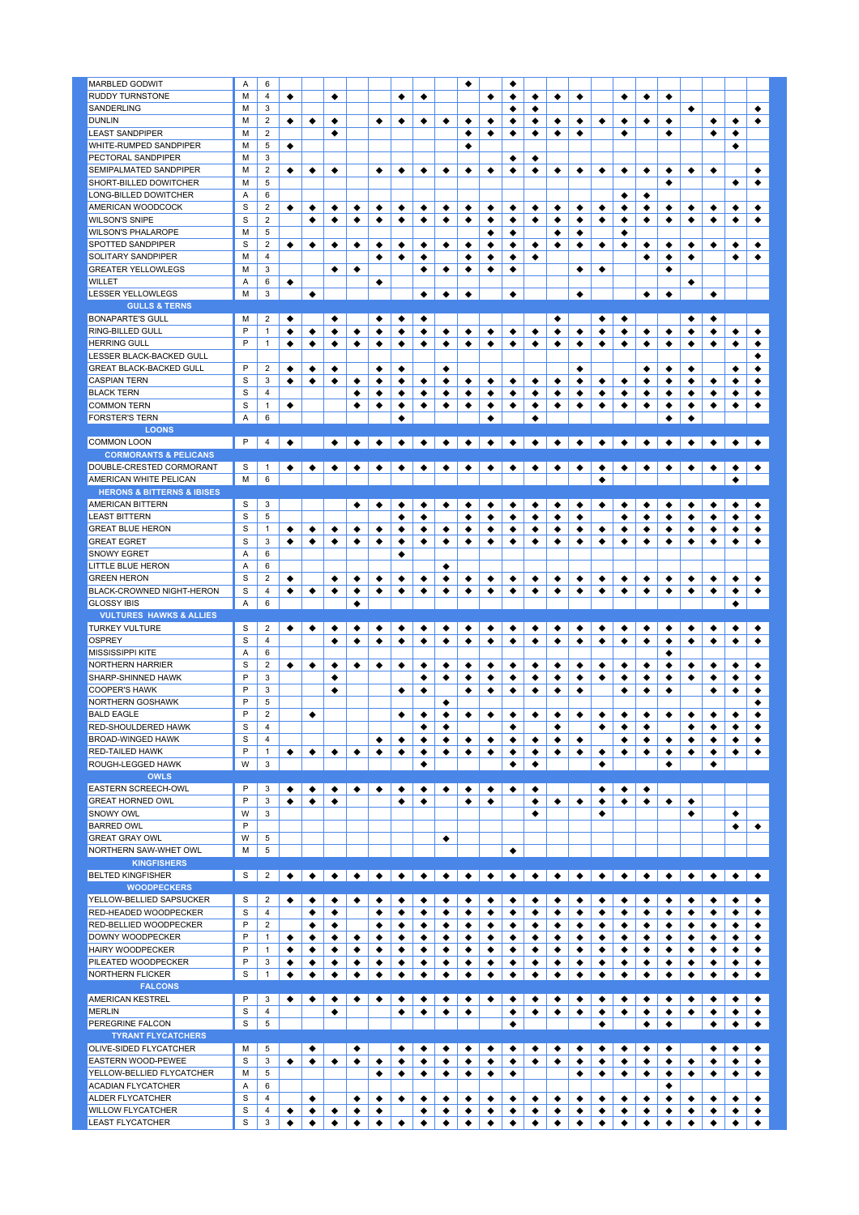| <b>MARBLED GODWIT</b>                               | A      | 6                       |           |        |           |        |        |                                   |        |        | ٠      |        |        |        |        |        |        |        |        |        |        |                                   |
|-----------------------------------------------------|--------|-------------------------|-----------|--------|-----------|--------|--------|-----------------------------------|--------|--------|--------|--------|--------|--------|--------|--------|--------|--------|--------|--------|--------|-----------------------------------|
| <b>RUDDY TURNSTONE</b>                              | M      | 4                       | ٠         |        | ٠         |        |        | ٠                                 | ٠      |        |        | ٠      | ٠      | ٠      | ٠      | ٠      |        | ٠      | ٠      | ٠      |        |                                   |
|                                                     |        |                         |           |        |           |        |        |                                   |        |        |        |        |        |        |        |        |        |        |        |        |        |                                   |
| SANDERLING                                          | M      | 3                       |           |        |           |        |        |                                   |        |        |        |        | ٠      | ٠      |        |        |        |        |        |        | ٠      |                                   |
| <b>DUNLIN</b>                                       | M      | $\overline{c}$          | ٠         | ٠      | ٠         |        | ٠      | ٠                                 | ٠      | ٠      | ٠      | ٠      | ٠      | ٠      | ٠      | ٠      | ٠      | ٠      | ٠      | ٠      |        | ٠                                 |
|                                                     |        |                         |           |        |           |        |        |                                   |        |        |        |        |        |        |        |        |        |        |        |        |        |                                   |
| <b>LEAST SANDPIPER</b>                              | M      | $\overline{2}$          |           |        | ٠         |        |        |                                   |        |        | ٠      | ٠      | ٠      | ٠      | ٠      | ٠      |        | ٠      |        | ٠      |        | ٠                                 |
| WHITE-RUMPED SANDPIPER                              | M      | 5                       | ٠         |        |           |        |        |                                   |        |        | ٠      |        |        |        |        |        |        |        |        |        |        |                                   |
| PECTORAL SANDPIPER                                  | M      | 3                       |           |        |           |        |        |                                   |        |        |        |        | ٠      |        |        |        |        |        |        |        |        |                                   |
|                                                     |        |                         |           |        |           |        |        |                                   |        |        |        |        |        | ٠      |        |        |        |        |        |        |        |                                   |
| <b>SEMIPALMATED SANDPIPER</b>                       | M      | $\overline{2}$          | ٠         | ٠      | ٠         |        | ٠      | ٠                                 | ٠      | ٠      | ٠      | ٠      | ٠      | ٠      | ٠      | ٠      | ٠      | ٠      | ٠      | ٠      | ٠      | ٠                                 |
| SHORT-BILLED DOWITCHER                              | M      | 5                       |           |        |           |        |        |                                   |        |        |        |        |        |        |        |        |        |        |        | ٠      |        |                                   |
|                                                     |        |                         |           |        |           |        |        |                                   |        |        |        |        |        |        |        |        |        |        |        |        |        |                                   |
| LONG-BILLED DOWITCHER                               | Α      | 6                       |           |        |           |        |        |                                   |        |        |        |        |        |        |        |        |        | ٠      | ٠      |        |        |                                   |
| AMERICAN WOODCOCK                                   | S      | 2                       | ٠         | ٠      | ٠         | ٠      | ٠      | ٠                                 | ٠      | ٠      | ٠      | ٠      | ٠      | ٠      | ٠      | ٠      | ٠      | ٠      | ٠      | ٠      | ٠      | ٠                                 |
| <b>WILSON'S SNIPE</b>                               | S      | $\overline{2}$          |           |        |           | ٠      |        |                                   |        |        |        | ٠      |        |        |        |        | ٠      |        |        |        |        |                                   |
|                                                     |        |                         |           | ٠      | ٠         |        | ٠      | ٠                                 | ٠      | ٠      | ٠      |        | ٠      | ٠      | ٠      | ٠      |        | ٠      | ٠      | ٠      | ٠      | ٠                                 |
| <b>WILSON'S PHALAROPE</b>                           | M      | 5                       |           |        |           |        |        |                                   |        |        |        | ٠      | ٠      |        | ٠      | ٠      |        | ٠      |        |        |        |                                   |
| SPOTTED SANDPIPER                                   | S      | $\overline{2}$          | ٠         | ٠      | ٠         | ٠      | ٠      | ٠                                 | ٠      | ٠      | ٠      | ٠      | ٠      | ٠      | ٠      | ٠      | ٠      | ٠      | ٠      | ٠      | ٠      | ٠                                 |
|                                                     |        |                         |           |        |           |        |        |                                   |        |        |        |        |        |        |        |        |        |        |        |        |        |                                   |
| SOLITARY SANDPIPER                                  | M      | $\overline{4}$          |           |        |           |        | ٠      | ٠                                 | ٠      |        | ٠      | ٠      | ٠      | ٠      |        |        |        |        | ٠      | ٠      | ٠      |                                   |
| <b>GREATER YELLOWLEGS</b>                           | M      | 3                       |           |        | ٠         | ٠      |        |                                   | ٠      | ٠      | ٠      | ٠      | ٠      |        |        | ٠      | ٠      |        |        | ٠      |        |                                   |
|                                                     |        |                         |           |        |           |        |        |                                   |        |        |        |        |        |        |        |        |        |        |        |        |        |                                   |
| <b>WILLET</b>                                       | Α      | 6                       | ٠         |        |           |        | ٠      |                                   |        |        |        |        |        |        |        |        |        |        |        |        | ٠      |                                   |
| <b>LESSER YELLOWLEGS</b>                            | M      | 3                       |           | ٠      |           |        |        |                                   | ٠      | ٠      | ٠      |        | ٠      |        |        | ٠      |        |        | ٠      | ٠      |        | ٠                                 |
|                                                     |        |                         |           |        |           |        |        |                                   |        |        |        |        |        |        |        |        |        |        |        |        |        |                                   |
| <b>GULLS &amp; TERNS</b>                            |        |                         |           |        |           |        |        |                                   |        |        |        |        |        |        |        |        |        |        |        |        |        |                                   |
| <b>BONAPARTE'S GULL</b>                             | M      | 2                       | ٠         |        | ٠         |        | ٠      | ٠                                 | ٠      |        |        |        |        |        | ٠      |        | ٠      | ٠      |        |        | ٠      | ٠                                 |
| RING-BILLED GULL                                    | P      | 1                       |           |        |           |        |        |                                   |        |        |        |        |        |        |        |        |        |        |        |        |        |                                   |
|                                                     |        |                         | ٠         | ٠      | ٠         | ٠      | ٠      | ٠                                 | ٠      | ٠      | ٠      | ٠      | ٠      | ٠      | ٠      | ٠      | ٠      | ٠      | ٠      | ٠      | ٠      | ٠                                 |
| <b>HERRING GULL</b>                                 | P      | 1                       | ٠         | ٠      | ٠         | ٠      | ٠      | ٠                                 | ٠      | ٠      | ٠      | ٠      | ٠      | ٠      | ٠      | ٠      | ٠      | ٠      | ٠      | ٠      | ٠      | ٠                                 |
| LESSER BLACK-BACKED GULL                            |        |                         |           |        |           |        |        |                                   |        |        |        |        |        |        |        |        |        |        |        |        |        |                                   |
|                                                     |        |                         |           |        |           |        |        |                                   |        |        |        |        |        |        |        |        |        |        |        |        |        |                                   |
| <b>GREAT BLACK-BACKED GULL</b>                      | P      | $\overline{c}$          | ٠         | ٠      | ٠         |        | ٠      | ٠                                 |        | ٠      |        |        |        |        |        | ٠      |        |        | ٠      | ٠      | ٠      |                                   |
| <b>CASPIAN TERN</b>                                 | S      | 3                       | ٠         | ٠      | ٠         | ٠      | ٠      | ٠                                 | ٠      | ٠      | ٠      | ٠      | ٠      | ٠      | ٠      | ٠      | ٠      | ٠      | ٠      | ٠      | ٠      | ٠                                 |
|                                                     |        |                         |           |        |           |        |        |                                   |        |        |        |        |        |        |        |        |        |        |        |        |        |                                   |
| <b>BLACK TERN</b>                                   | S      | 4                       |           |        |           | ٠      | ٠      | ٠                                 | ٠      | ٠      | ٠      | ٠      | ٠      | ٠      | ٠      | ٠      | ٠      | ٠      | ٠      | ٠      | ٠      | ٠                                 |
| <b>COMMON TERN</b>                                  | S      | 1                       | ٠         |        |           | ٠      | ٠      | ٠                                 | ٠      | ٠      | ٠      | ٠      | ٠      | ٠      | ٠      | ٠      | ٠      | ٠      | ٠      | ٠      | ٠      | ٠                                 |
|                                                     |        |                         |           |        |           |        |        |                                   |        |        |        |        |        |        |        |        |        |        |        |        |        |                                   |
| <b>FORSTER'S TERN</b>                               | A      | 6                       |           |        |           |        |        | ٠                                 |        |        |        | ٠      |        | ٠      |        |        |        |        |        | ٠      | ٠      |                                   |
| <b>LOONS</b>                                        |        |                         |           |        |           |        |        |                                   |        |        |        |        |        |        |        |        |        |        |        |        |        |                                   |
|                                                     |        |                         |           |        |           |        |        |                                   |        |        |        |        |        |        |        |        |        |        |        |        |        |                                   |
| <b>COMMON LOON</b>                                  | P      | 4                       | ٠         |        | $\bullet$ |        |        | + + + + + + + + + + + + + + + + + |        |        |        |        |        |        |        |        |        |        |        |        |        |                                   |
| <b>CORMORANTS &amp; PELICANS</b>                    |        |                         |           |        |           |        |        |                                   |        |        |        |        |        |        |        |        |        |        |        |        |        |                                   |
|                                                     |        |                         |           |        |           |        |        |                                   |        |        |        |        |        |        |        |        |        |        |        |        |        |                                   |
| DOUBLE-CRESTED CORMORANT                            | S      | $\mathbf{1}$            | ٠         |        | ٠         | ٠      | ٠      | ٠                                 | ٠      | ٠      | ٠      | ٠      | ٠      | ٠      | ٠      | ٠      | ٠      | ٠      | ٠      | ٠      |        |                                   |
| AMERICAN WHITE PELICAN                              | M      | 6                       |           |        |           |        |        |                                   |        |        |        |        |        |        |        |        | ٠      |        |        |        |        |                                   |
|                                                     |        |                         |           |        |           |        |        |                                   |        |        |        |        |        |        |        |        |        |        |        |        |        |                                   |
| <b>HERONS &amp; BITTERNS &amp; IBISES</b>           |        |                         |           |        |           |        |        |                                   |        |        |        |        |        |        |        |        |        |        |        |        |        |                                   |
| <b>AMERICAN BITTERN</b>                             | S      | 3                       |           |        |           | ٠      | ٠      | ٠                                 | ٠      | ٠      | ٠      | ٠      | ٠      | ٠      | ٠      | ٠      | ٠      | ٠      | ٠      | ٠      | ٠      | ٠                                 |
|                                                     |        |                         |           |        |           |        |        |                                   |        |        |        |        |        |        |        |        |        |        |        |        |        |                                   |
| <b>LEAST BITTERN</b>                                | S      | 5                       |           |        |           |        |        | ٠                                 | ٠      |        | ٠      | ٠      | ٠      | ٠      | ٠      | ٠      |        | ٠      | ٠      | ٠      | ٠      | ٠                                 |
| <b>GREAT BLUE HERON</b>                             | S      | $\mathbf{1}$            | ٠         | ٠      | ٠         | ٠      | ٠      | ٠                                 | ٠      | ٠      | ٠      | ٠      | ٠      | ٠      | ٠      | ٠      | ٠      | ٠      | ٠      | ٠      | ٠      | ٠                                 |
| <b>GREAT EGRET</b>                                  | S      | 3                       |           | ٠      |           |        |        |                                   |        |        |        |        |        |        | ٠      |        |        |        |        | ٠      |        |                                   |
|                                                     |        |                         | ٠         |        | ٠         | ٠      | ٠      | ٠                                 | ٠      | ٠      | ٠      | ٠      | ٠      | ٠      |        | ٠      | ٠      | ٠      | ٠      |        | ٠      | ٠                                 |
| <b>SNOWY EGRET</b>                                  | A      | 6                       |           |        |           |        |        | ٠                                 |        |        |        |        |        |        |        |        |        |        |        |        |        |                                   |
| LITTLE BLUE HERON                                   | A      | 6                       |           |        |           |        |        |                                   |        | ٠      |        |        |        |        |        |        |        |        |        |        |        |                                   |
|                                                     |        |                         |           |        |           |        |        |                                   |        |        |        |        |        |        |        |        |        |        |        |        |        |                                   |
| <b>GREEN HERON</b>                                  | S      | $\overline{\mathbf{2}}$ | ٠         |        | ٠         | ٠      | ٠      | ٠                                 | ٠      | ٠      | ٠      | ٠      | ٠      | ٠      | ٠      | ٠      | ٠      | ٠      | ٠      | ٠      | ٠      | ٠                                 |
| BLACK-CROWNED NIGHT-HERON                           | S      | $\overline{4}$          | ٠         | ٠      | ٠         | ٠      | ٠      | ٠                                 | ٠      | ٠      | ٠      | ٠      | ٠      | ٠      | ٠      | ٠      | ٠      | ٠      | ٠      | ٠      | ٠      | ٠                                 |
|                                                     |        |                         |           |        |           |        |        |                                   |        |        |        |        |        |        |        |        |        |        |        |        |        |                                   |
|                                                     |        |                         |           |        |           |        |        |                                   |        |        |        |        |        |        |        |        |        |        |        |        |        |                                   |
| <b>GLOSSY IBIS</b>                                  | Α      | 6                       |           |        |           | ٠      |        |                                   |        |        |        |        |        |        |        |        |        |        |        |        |        |                                   |
|                                                     |        |                         |           |        |           |        |        |                                   |        |        |        |        |        |        |        |        |        |        |        |        |        |                                   |
| <b>VULTURES HAWKS &amp; ALLIES</b>                  |        |                         |           |        |           |        |        |                                   |        |        |        |        |        |        |        |        |        |        |        |        |        |                                   |
| <b>TURKEY VULTURE</b>                               | S      | $\overline{2}$          | ٠         | ٠      | ٠         | ٠      | ٠      | ٠                                 | ٠      | ٠      | ٠      | ٠      | ٠      | ٠      | ٠      | ٠      | ٠      | ٠      | ٠      | ٠      | ٠      | ٠                                 |
|                                                     |        |                         |           |        |           |        |        |                                   |        |        |        |        |        |        |        |        |        |        |        |        |        |                                   |
| <b>OSPREY</b>                                       | S      | $\overline{4}$          |           |        | ٠         | ٠      | ٠      | ٠                                 | ٠      | ٠      | ٠      | ٠      | ٠      | ٠      | ٠      | ٠      | ٠      | ٠      | ٠      | ٠      | ٠      | ٠                                 |
| <b>MISSISSIPPI KITE</b>                             | A      | 6                       |           |        |           |        |        |                                   |        |        |        |        |        |        |        |        |        |        |        | ٠      |        |                                   |
|                                                     |        |                         |           |        |           |        |        |                                   |        |        |        |        |        |        |        |        |        |        |        |        |        |                                   |
| NORTHERN HARRIER                                    | S      | $\overline{c}$          | ٠         | ٠      | ٠         | ٠      | ٠      | ٠                                 | ٠      | ٠      | ٠      | ٠      | ٠      | ٠      | ٠      | ٠      | ٠      | ٠      | ٠      | ٠      | ٠      | ٠                                 |
| SHARP-SHINNED HAWK                                  | P      | 3                       |           |        | ٠         |        |        |                                   | ٠      | ٠      | ٠      | ٠      | ٠      | ٠      | ٠      | ٠      | ٠      | ٠      | ٠      | ٠      | ٠      | ٠                                 |
| <b>COOPER'S HAWK</b>                                | P      |                         |           |        |           |        |        |                                   | ٠      |        |        | ٠      |        |        |        |        |        |        |        |        |        |                                   |
|                                                     |        | 3                       |           |        | ٠         |        |        | ٠                                 |        |        | ٠      |        | ٠      | ٠      | ٠      | ٠      |        | ٠      | ٠      | ٠      |        | ٠                                 |
| <b>NORTHERN GOSHAWK</b>                             | P      | 5                       |           |        |           |        |        |                                   |        | ٠      |        |        |        |        |        |        |        |        |        |        |        |                                   |
| <b>BALD EAGLE</b>                                   | P      | $\overline{2}$          |           | ٠      |           |        |        | ٠                                 | ٠      | ٠      | ٠      | ٠      | ٠      | ٠      | ٠      | ٠      | ٠      | ٠      | ٠      | ٠      | ٠      | ٠                                 |
|                                                     |        |                         |           |        |           |        |        |                                   |        |        |        |        |        |        |        |        |        |        |        |        |        |                                   |
| RED-SHOULDERED HAWK                                 | S      | 4                       |           |        |           |        |        |                                   | ٠      | ٠      |        |        | ٠      |        | ٠      |        | ٠      | ٠      | ٠      |        | ٠      | ٠                                 |
| <b>BROAD-WINGED HAWK</b>                            | S      | 4                       |           |        |           |        | ٠      | ٠                                 | ٠      | ٠      | ٠      | ٠      | ٠      | ٠      | ٠      | ٠      |        | ٠      | ٠      | ٠      | ٠      | ٠                                 |
|                                                     |        |                         |           |        |           |        |        |                                   |        |        |        |        |        |        |        |        |        |        |        |        |        |                                   |
| <b>RED-TAILED HAWK</b>                              | P      | 1                       | ٠         | ٠      | ٠         | ٠      | ٠      | ٠                                 | ٠      | ٠      | ٠      | ٠      | ٠      | ٠      | ٠      | ٠      | ٠      | ٠      | ٠      | ٠      | ٠      | ٠                                 |
| ROUGH-LEGGED HAWK                                   | W      | 3                       |           |        |           |        |        |                                   | ٠      |        |        |        | ٠      | ٠      |        |        | ٠      |        |        | ٠      |        | ٠                                 |
|                                                     |        |                         |           |        |           |        |        |                                   |        |        |        |        |        |        |        |        |        |        |        |        |        |                                   |
| <b>OWLS</b>                                         |        |                         |           |        |           |        |        |                                   |        |        |        |        |        |        |        |        |        |        |        |        |        |                                   |
| EASTERN SCREECH-OWL                                 | P      | 3                       | ٠         | ٠      | ٠         | ٠      | ٠      | ٠                                 | ٠      | ٠      | ٠      | ٠      | ٠      | ٠      |        |        | ٠      | ٠      | ٠      |        |        |                                   |
|                                                     | P      |                         |           |        |           |        |        |                                   |        |        |        |        |        |        |        |        |        |        |        |        |        |                                   |
| <b>GREAT HORNED OWL</b>                             |        | 3                       | ٠         | ٠      | ٠         |        |        | ٠                                 | ٠      |        | ٠      | ٠      |        | ٠      | ٠      | ٠      | ٠      | ٠      | ٠      | ٠      | ٠      |                                   |
| SNOWY OWL                                           | W      | 3                       |           |        |           |        |        |                                   |        |        |        |        |        | ٠      |        |        | ٠      |        |        |        | ٠      |                                   |
| <b>BARRED OWL</b>                                   | P      |                         |           |        |           |        |        |                                   |        |        |        |        |        |        |        |        |        |        |        |        |        |                                   |
|                                                     |        |                         |           |        |           |        |        |                                   |        |        |        |        |        |        |        |        |        |        |        |        |        |                                   |
| <b>GREAT GRAY OWL</b>                               | W      | 5                       |           |        |           |        |        |                                   |        | ٠      |        |        |        |        |        |        |        |        |        |        |        |                                   |
| NORTHERN SAW-WHET OWL                               | M      | 5                       |           |        |           |        |        |                                   |        |        |        |        | ٠      |        |        |        |        |        |        |        |        |                                   |
|                                                     |        |                         |           |        |           |        |        |                                   |        |        |        |        |        |        |        |        |        |        |        |        |        |                                   |
| <b>KINGFISHERS</b>                                  |        |                         |           |        |           |        |        |                                   |        |        |        |        |        |        |        |        |        |        |        |        |        |                                   |
| <b>BELTED KINGFISHER</b>                            | S      | $\overline{2}$          | $\bullet$ |        |           |        |        |                                   |        |        |        |        |        |        |        |        |        |        |        |        |        | $\bullet$<br>$\overline{\bullet}$ |
| <b>WOODPECKERS</b>                                  |        |                         |           |        |           |        |        |                                   |        |        |        |        |        |        |        |        |        |        |        |        |        |                                   |
|                                                     |        |                         |           |        |           |        |        |                                   |        |        |        |        |        |        |        |        |        |        |        |        |        |                                   |
| YELLOW-BELLIED SAPSUCKER                            | S      | 2                       | ٠         | ٠      | ٠         | ٠      | ٠      | ٠                                 | ٠      | ٠      | ٠      | ٠      | ٠      | ٠      | ٠      | ٠      | ٠      | ٠      | ٠      | ٠      | ٠      | ٠                                 |
| RED-HEADED WOODPECKER                               | S      | 4                       |           | ٠      | ٠         |        | ٠      | ٠                                 | ٠      | ٠      | ٠      | ٠      | ٠      | ٠      | ٠      | ٠      | ٠      | ٠      | ٠      | ٠      | ٠      | ٠                                 |
|                                                     |        |                         |           |        |           |        |        |                                   |        |        |        |        |        |        |        |        |        |        |        |        |        |                                   |
| RED-BELLIED WOODPECKER                              | P      | $\overline{c}$          |           | ٠      | ٠         |        | ٠      | ٠                                 | ٠      | ٠      | ٠      | ٠      | ٠      | ٠      | ٠      | ٠      | ٠      | ٠      | ٠      | ٠      | ٠      | ٠                                 |
| <b>DOWNY WOODPECKER</b>                             | P      | 1                       | ٠         | ٠      | ٠         | ٠      | ٠      | ٠                                 | ٠      | ٠      | ٠      | ٠      | ٠      | ٠      | ٠      | ٠      | ٠      | ٠      | ٠      | ٠      | ٠      | ٠                                 |
|                                                     |        |                         |           |        |           |        |        |                                   |        |        |        |        |        |        |        |        |        |        |        |        |        |                                   |
| <b>HAIRY WOODPECKER</b>                             | P      | 1                       | ٠         | ٠      | ٠         | ٠      | ٠      | ٠                                 | ٠      | ٠      | ٠      | ٠      | ٠      | ٠      | ٠      | ٠      | ٠      | ٠      | ٠      | ٠      | ٠      | ٠                                 |
| PILEATED WOODPECKER                                 | P      | 3                       | ٠         | ٠      | ٠         | ٠      | ٠      | ٠                                 | ٠      | ٠      | ٠      | ٠      | ٠      | ٠      | ٠      | ٠      | ٠      | ٠      | ٠      | ٠      | ٠      | ٠                                 |
|                                                     |        |                         |           |        |           |        |        |                                   |        |        |        |        |        |        |        |        |        |        |        |        |        |                                   |
| <b>NORTHERN FLICKER</b>                             | S      | $\mathbf{1}$            | ٠         | ٠      | ٠         | ٠      | ٠      | ٠                                 | ٠      | ٠      | ٠      | ٠      | ٠      | ٠      | ٠      | ٠      | ٠      | ٠      | ٠      | ٠      | ٠      | ٠                                 |
| <b>FALCONS</b>                                      |        |                         |           |        |           |        |        |                                   |        |        |        |        |        |        |        |        |        |        |        |        |        |                                   |
|                                                     |        |                         |           |        |           |        |        |                                   |        |        |        |        |        |        |        |        |        |        |        |        |        |                                   |
| <b>AMERICAN KESTREL</b>                             | P      | 3                       | ٠         | ٠      | ٠         | ٠      | ٠      | ٠                                 | ٠      | ٠      | ٠      | ٠      | ٠      | ٠      | ٠      | ٠      | ٠      | ٠      | ٠      | ٠      | ٠      | ٠                                 |
| <b>MERLIN</b>                                       | S      | 4                       |           |        | ٠         |        |        | ٠                                 | ٠      | ٠      | ٠      |        | ٠      | ٠      | ٠      | ٠      | ٠      | ٠      | ٠      | ٠      | ٠      | ٠                                 |
|                                                     |        |                         |           |        |           |        |        |                                   |        |        |        |        |        |        |        |        |        |        |        |        |        |                                   |
| PEREGRINE FALCON                                    | S      | 5                       |           |        |           |        |        |                                   |        |        |        |        | ٠      |        |        |        | ٠      |        | ٠      | ٠      |        | ٠                                 |
| <b>TYRANT FLYCATCHERS</b>                           |        |                         |           |        |           |        |        |                                   |        |        |        |        |        |        |        |        |        |        |        |        |        |                                   |
|                                                     |        |                         |           |        |           |        |        |                                   |        |        |        |        |        |        |        |        |        |        |        |        |        |                                   |
| OLIVE-SIDED FLYCATCHER                              | M      | 5                       |           | ٠      |           | ٠      |        | ٠                                 | ٠      | ٠      | ٠      | ٠      | ٠      | ٠      | ٠      | ٠      | ٠      | ٠      | ٠      | ٠      |        | ٠                                 |
| EASTERN WOOD-PEWEE                                  | S      | 3                       | ٠         | ٠      | ٠         | ٠      | ٠      | ٠                                 | ٠      | ٠      | ٠      | ٠      | ٠      | ٠      | ٠      | ٠      | ٠      | ٠      | ٠      | ٠      | ٠      | ٠                                 |
|                                                     | M      | 5                       |           |        |           |        |        |                                   |        |        |        |        |        |        |        |        |        |        |        |        |        |                                   |
| YELLOW-BELLIED FLYCATCHER                           |        |                         |           |        |           |        | ٠      | ٠                                 | ٠      | ٠      | ٠      | ٠      | ٠      |        |        | ٠      | ٠      | ٠      | ٠      | ٠      | ٠      | ٠                                 |
| <b>ACADIAN FLYCATCHER</b>                           | Α      | 6                       |           |        |           |        |        |                                   |        |        |        |        |        |        |        |        |        |        |        | ٠      |        |                                   |
| <b>ALDER FLYCATCHER</b>                             | S      | 4                       |           | ٠      |           | ٠      | ٠      | ٠                                 | ٠      | ٠      | ٠      | ٠      | ٠      |        | ٠      | ٠      | ٠      | ٠      |        | ٠      | ٠      | ٠                                 |
|                                                     |        |                         |           |        |           |        |        |                                   |        |        |        |        |        | ٠      |        |        |        |        | ٠      |        |        |                                   |
| <b>WILLOW FLYCATCHER</b><br><b>LEAST FLYCATCHER</b> | S<br>S | 4<br>3                  | ٠<br>٠    | ٠<br>٠ | ٠<br>٠    | ٠<br>٠ | ٠<br>٠ | ٠                                 | ٠<br>٠ | ٠<br>٠ | ٠<br>٠ | ٠<br>٠ | ٠<br>٠ | ٠<br>٠ | ٠<br>٠ | ٠<br>٠ | ٠<br>٠ | ٠<br>٠ | ٠<br>٠ | ٠<br>٠ | ٠<br>٠ | ٠<br>٠                            |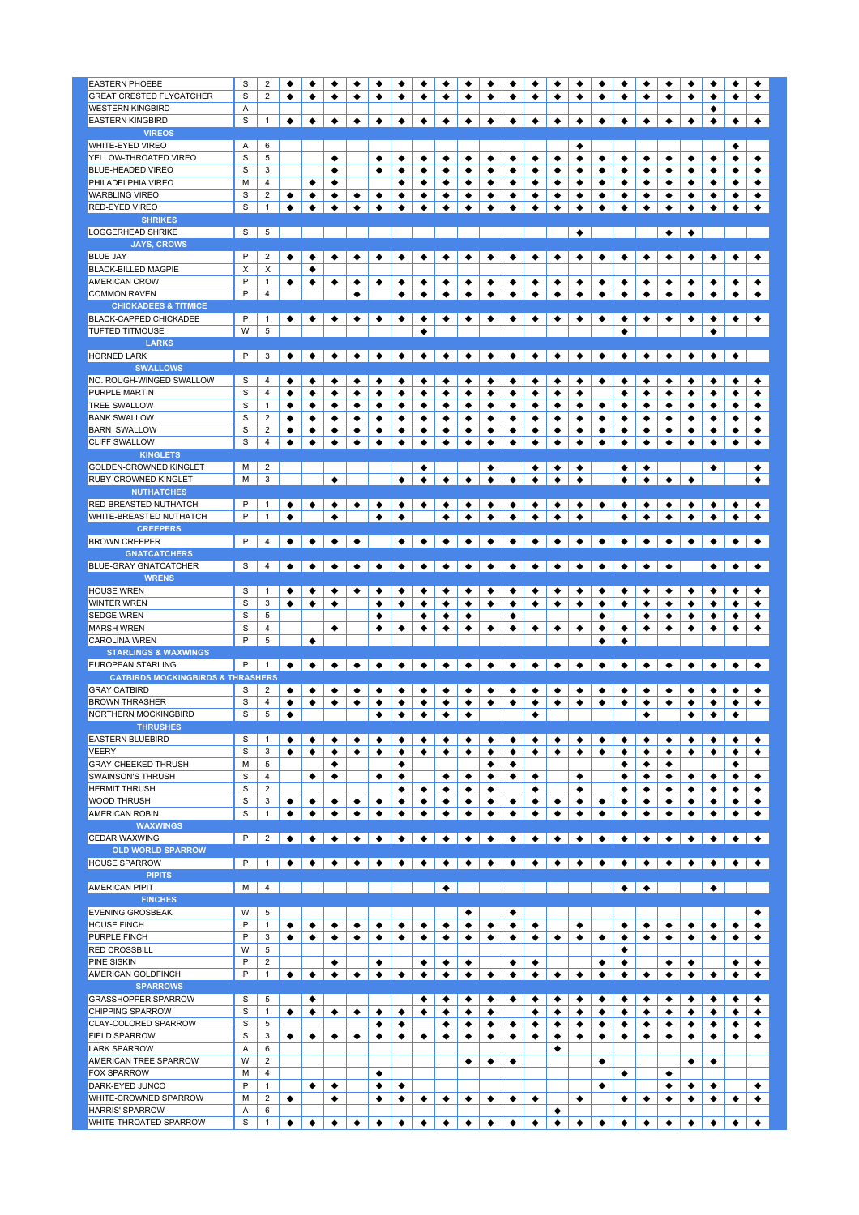| <b>EASTERN PHOEBE</b>                            | S      | $\overline{2}$          | ٠ | ٠ | ٠         | ٠             | ٠             | ٠                   | ٠                    | ٠         | ٠<br>٠                                                 | ٠                            | ٠                         | ٠         | ٠         | ٠         | ٠                         | ٠                         | ٠               |                 | ٠                   | ٠         | ٠         |
|--------------------------------------------------|--------|-------------------------|---|---|-----------|---------------|---------------|---------------------|----------------------|-----------|--------------------------------------------------------|------------------------------|---------------------------|-----------|-----------|-----------|---------------------------|---------------------------|-----------------|-----------------|---------------------|-----------|-----------|
| <b>GREAT CRESTED FLYCATCHER</b>                  | S      | $\overline{2}$          | ٠ | ٠ | ٠         | ٠             | ٠             | ٠                   | ٠                    | ٠         | ٠<br>٠                                                 | ٠                            | ٠                         | ٠         | ٠         | ٠         | ٠                         | ٠                         | ٠               | ٠               | ٠                   | ٠         | ٠         |
|                                                  |        |                         |   |   |           |               |               |                     |                      |           |                                                        |                              |                           |           |           |           |                           |                           |                 |                 |                     |           |           |
| <b>WESTERN KINGBIRD</b>                          | Α      |                         |   |   |           |               |               |                     |                      |           |                                                        |                              |                           |           |           |           |                           |                           |                 |                 | ٠                   |           |           |
| <b>EASTERN KINGBIRD</b>                          | S      | $\mathbf{1}$            | ٠ | ٠ | ٠         | ٠             | ٠             | ٠                   | ٠                    | ٠         | ٠<br>٠                                                 | ٠                            | ٠                         | ٠         | ٠         | ٠         | ٠                         | ٠                         | ٠               | ٠               | ٠                   | ٠         | ۰         |
| <b>VIREOS</b>                                    |        |                         |   |   |           |               |               |                     |                      |           |                                                        |                              |                           |           |           |           |                           |                           |                 |                 |                     |           |           |
| <b>WHITE-EYED VIREO</b>                          | A      | 6                       |   |   |           |               |               |                     |                      |           |                                                        |                              |                           |           | ٠         |           |                           |                           |                 |                 |                     | ٠         |           |
|                                                  |        |                         |   |   |           |               |               |                     |                      |           |                                                        |                              |                           |           |           |           |                           |                           |                 |                 |                     |           |           |
| YELLOW-THROATED VIREO                            | S      | 5                       |   |   | ٠         |               | ٠             | ٠                   | ٠                    | ٠         | ٠<br>٠                                                 | ٠                            | ٠                         | ٠         | ٠         | ٠         | ٠                         | ٠                         | ٠               | ٠               | ٠                   | ٠         | ٠         |
| <b>BLUE-HEADED VIREO</b>                         | S      | 3                       |   |   | ٠         |               | ٠             | ٠                   | ٠                    | ٠         | ٠<br>٠                                                 | ٠                            | ٠                         | ٠         | ٠         | ٠         | ٠                         | ٠                         | ٠               | ٠               | ٠                   | ٠         | ٠         |
| PHILADELPHIA VIREO                               | M      | 4                       |   | ٠ | ٠         |               |               | ٠                   | ٠                    | ٠         | ٠<br>٠                                                 | ٠                            | ٠                         | ٠         | ٠         | ٠         | ٠                         | ٠                         | ٠               | ٠               | ٠                   | ٠         | ٠         |
| <b>WARBLING VIREO</b>                            | S      | $\overline{\mathbf{2}}$ | ٠ | ٠ | ٠         | ٠             | ٠             | ٠                   | ٠                    | ٠         | ٠<br>٠                                                 | ٠                            | ٠                         | ٠         | ٠         | ٠         | ٠                         | ٠                         | ٠               | ٠               | ٠                   | ٠         | ٠         |
| <b>RED-EYED VIREO</b>                            | S      | 1                       |   |   |           | ٠             |               |                     |                      |           | ٠                                                      |                              |                           |           |           |           | ٠                         |                           |                 |                 |                     |           |           |
|                                                  |        |                         | ٠ | ٠ |           |               | ٠             |                     |                      | ٠         | ٠                                                      | ٠                            | ٠                         |           | ٠         | ٠         |                           | ٠                         |                 |                 | ٠                   | ٠         | ٠         |
| <b>SHRIKES</b>                                   |        |                         |   |   |           |               |               |                     |                      |           |                                                        |                              |                           |           |           |           |                           |                           |                 |                 |                     |           |           |
| <b>LOGGERHEAD SHRIKE</b>                         | S      | 5                       |   |   |           |               |               |                     |                      |           |                                                        |                              |                           |           | ٠         |           |                           |                           | ٠               | ٠               |                     |           |           |
| <b>JAYS, CROWS</b>                               |        |                         |   |   |           |               |               |                     |                      |           |                                                        |                              |                           |           |           |           |                           |                           |                 |                 |                     |           |           |
| <b>BLUE JAY</b>                                  | P      | $\overline{2}$          | ٠ | ٠ | ٠         | ٠             | ٠             | ٠                   | ٠                    | ٠         | ٠<br>٠                                                 | ٠                            | ٠                         | ٠         | ٠         | ٠         | ٠                         | ٠                         | ٠               | ٠               | ٠                   | ٠         | ٠         |
| <b>BLACK-BILLED MAGPIE</b>                       | X      | X                       |   |   |           |               |               |                     |                      |           |                                                        |                              |                           |           |           |           |                           |                           |                 |                 |                     |           |           |
|                                                  |        |                         |   | ٠ |           |               |               |                     |                      |           |                                                        |                              |                           |           |           |           |                           |                           |                 |                 |                     |           |           |
| <b>AMERICAN CROW</b>                             | P      | 1                       | ٠ | ٠ | ٠         | ٠             | ٠             | ٠                   | ٠                    | ٠         | ٠<br>٠                                                 | ٠                            | ٠                         | ٠         | ٠         | ٠         | ٠                         | ٠                         | ٠               | ٠               | ٠                   | ٠         | ٠         |
| <b>COMMON RAVEN</b>                              | P      | 4                       |   |   |           | ٠             |               | ٠                   | ٠                    | ٠         | ٠<br>٠                                                 | ٠                            | ٠                         | ٠         | ٠         | ٠         | ٠                         | ٠                         | ٠               | ٠               | ٠                   | ٠         | ٠         |
| <b>CHICKADEES &amp; TITMICE</b>                  |        |                         |   |   |           |               |               |                     |                      |           |                                                        |                              |                           |           |           |           |                           |                           |                 |                 |                     |           |           |
| BLACK-CAPPED CHICKADEE                           | P      | 1                       | ٠ |   |           |               |               |                     |                      |           |                                                        |                              |                           |           |           |           |                           |                           |                 |                 |                     |           |           |
|                                                  |        |                         |   |   |           |               |               |                     |                      |           |                                                        |                              |                           |           |           |           |                           |                           |                 |                 |                     |           |           |
| <b>TUFTED TITMOUSE</b>                           | W      | 5                       |   |   |           |               |               |                     |                      |           |                                                        |                              |                           |           |           |           |                           |                           |                 |                 |                     |           |           |
| <b>LARKS</b>                                     |        |                         |   |   |           |               |               |                     |                      |           |                                                        |                              |                           |           |           |           |                           |                           |                 |                 |                     |           |           |
| <b>HORNED LARK</b>                               | P      | 3                       |   |   | ٠         | $\bullet$     | ٠             | $\bullet$           | ٠                    | $\bullet$ | $\bullet$ $\bullet$                                    | $\bullet$                    | $\bullet$                 | ٠         | $\bullet$ | $\bullet$ |                           | $\bullet$                 |                 |                 | $\bullet$           | $\bullet$ |           |
| <b>SWALLOWS</b>                                  |        |                         |   |   |           |               |               |                     |                      |           |                                                        |                              |                           |           |           |           |                           |                           |                 |                 |                     |           |           |
| NO. ROUGH-WINGED SWALLOW                         | S      | 4                       | ٠ | ٠ | ٠         | ٠             | ٠             | ٠                   | ٠                    | ٠         | ٠<br>٠                                                 | ٠                            | ٠                         | ٠         | ٠         | ٠         | ٠                         | ٠                         | ٠               | ٠               | ٠                   | ٠         | ٠         |
|                                                  |        |                         |   |   |           |               |               |                     |                      |           |                                                        |                              |                           |           |           |           |                           |                           |                 |                 |                     |           |           |
| <b>PURPLE MARTIN</b>                             | S      | 4                       | ٠ | ٠ | ٠         | ٠             | ٠             | ٠                   | ٠                    | ٠         | ٠<br>٠                                                 | ٠                            | ٠                         | ٠         | ٠         |           | ٠                         | ٠                         | ٠               | ٠               | ٠                   | ٠         | $\bullet$ |
| <b>TREE SWALLOW</b>                              | S      | $\mathbf{1}$            | ٠ | ٠ | ٠         | ٠             | ٠             | ٠                   | ٠                    | ٠         | ٠<br>٠                                                 | ٠                            | ٠                         | ٠         | ٠         | ٠         | ٠                         | ٠                         | ٠               | ٠               | ٠                   | ٠         | ٠         |
| <b>BANK SWALLOW</b>                              | S      | 2                       | ٠ | ٠ | ٠         | ٠             | ٠             | ٠                   | ٠                    | ٠         | ٠<br>٠                                                 | ٠                            | ٠                         | ٠         | ٠         | ٠         | ٠                         | ٠                         | ٠               | ٠               | ٠                   | ٠         | ٠         |
| <b>BARN SWALLOW</b>                              | S      | $\overline{2}$          | ٠ | ٠ | ٠         | ٠             | ٠             | ٠                   | ٠                    | ٠         | ٠<br>٠                                                 | ٠                            | ٠                         | ٠         | ٠         | ٠         | ٠                         | ٠                         | ٠               | ٠               | ٠                   | ٠         | ٠         |
| <b>CLIFF SWALLOW</b>                             | S      | $\overline{4}$          |   |   |           |               |               |                     |                      |           |                                                        |                              |                           |           |           |           |                           |                           |                 |                 |                     |           |           |
|                                                  |        |                         |   |   |           |               |               |                     |                      |           |                                                        |                              | ٠                         |           |           |           |                           |                           |                 |                 |                     |           |           |
| <b>KINGLETS</b>                                  |        |                         |   |   |           |               |               |                     |                      |           |                                                        |                              |                           |           |           |           |                           |                           |                 |                 |                     |           |           |
| <b>GOLDEN-CROWNED KINGLET</b>                    | M      | $\overline{2}$          |   |   |           |               |               |                     | $\overline{\bullet}$ |           |                                                        |                              |                           |           |           |           | $\frac{\bullet}{\bullet}$ | $\frac{\bullet}{\bullet}$ |                 |                 |                     |           |           |
| RUBY-CROWNED KINGLET                             | M      | 3                       |   |   |           |               |               |                     |                      |           |                                                        |                              |                           |           |           |           |                           |                           |                 |                 |                     |           |           |
| <b>NUTHATCHES</b>                                |        |                         |   |   |           |               |               |                     |                      |           |                                                        |                              |                           |           |           |           |                           |                           |                 |                 |                     |           |           |
| <b>RED-BREASTED NUTHATCH</b>                     | P      | 1                       |   |   |           |               |               |                     |                      |           |                                                        |                              |                           |           |           |           |                           |                           |                 |                 |                     |           |           |
|                                                  |        |                         |   |   |           |               |               |                     | ٠                    | ٠         | $\frac{\bullet}{\bullet}$<br>$\frac{\bullet}{\bullet}$ | $\frac{\bullet}{\bullet}$    | $\frac{\bullet}{\bullet}$ | ٠         | ◆         | ٠         | $\bullet$                 | $\frac{\bullet}{\bullet}$ |                 |                 |                     |           |           |
| <b>WHITE-BREASTED NUTHATCH</b>                   | P      |                         |   |   |           |               |               |                     |                      |           |                                                        |                              |                           |           |           |           |                           |                           |                 |                 |                     |           |           |
| <b>CREEPERS</b>                                  |        |                         |   |   |           |               |               |                     |                      |           |                                                        |                              |                           |           |           |           |                           |                           |                 |                 |                     |           |           |
| <b>BROWN CREEPER</b>                             | P      | $\overline{4}$          |   |   | ٠         |               |               | ٠                   | ٠                    | ٠         | ٠<br>٠                                                 | ٠                            | ٠                         | ٠         | ٠         | ٠         | ٠                         | ٠                         | ٠               | ٠               |                     |           |           |
| <b>GNATCATCHERS</b>                              |        |                         |   |   |           |               |               |                     |                      |           |                                                        |                              |                           |           |           |           |                           |                           |                 |                 |                     |           |           |
| <b>BLUE-GRAY GNATCATCHER</b>                     | S      | $\overline{4}$          | ٠ | ٠ | $\bullet$ | $\rightarrow$ | $\rightarrow$ |                     |                      |           |                                                        | │◆│◆│◆│◆│◆│◆│◆│◆│◆│◆│◆│◆│◆│◆ |                           |           |           |           |                           |                           | ٠               |                 | ٠                   | ٠         | $\bullet$ |
| <b>WRENS</b>                                     |        |                         |   |   |           |               |               |                     |                      |           |                                                        |                              |                           |           |           |           |                           |                           |                 |                 |                     |           |           |
|                                                  |        |                         |   |   |           |               |               |                     |                      |           |                                                        |                              |                           |           |           |           |                           |                           |                 |                 |                     |           |           |
| <b>HOUSE WREN</b>                                | S      | 1                       | ٠ | ٠ | ٠         | ٠             | ٠             | ٠                   | ٠                    | ٠         | ٠<br>٠                                                 | ٠                            | ٠                         | ٠         | ٠         | ٠         | ٠                         | ٠                         | ٠               | ٠               | ٠                   | ٠         | ٠         |
| <b>WINTER WREN</b>                               | S      | 3                       | ٠ | ٠ | ٠         |               | ٠             | ٠                   | ٠                    | ٠         | ٠<br>٠                                                 | ٠                            | ٠                         | ٠         | ٠         | ٠         | ٠                         | ٠                         | ٠               | ٠               | ٠                   | ٠         | ٠         |
|                                                  |        |                         |   |   |           |               |               |                     |                      |           | ٠                                                      |                              |                           |           |           |           |                           |                           | ٠               |                 |                     |           |           |
| <b>SEDGE WREN</b>                                | S      | 5                       |   |   |           |               | ٠             |                     | ٠                    | ٠         |                                                        | ٠                            |                           |           |           | ٠         |                           | ٠                         |                 | ٠               | ٠                   | ٠         | ٠         |
|                                                  | S      | 4                       |   |   |           |               |               |                     |                      |           |                                                        |                              |                           |           |           |           |                           |                           | ٠               |                 |                     |           |           |
| <b>MARSH WREN</b>                                |        |                         |   |   | ٠         |               | ٠             | ٠                   | ٠                    | ٠         | ٠<br>٠                                                 | ٠                            | ٠                         | ٠         | ٠         | ٠         | ٠                         | ٠                         |                 | ٠               | ٠                   | ٠         | ٠         |
| <b>CAROLINA WREN</b>                             | P      | 5                       |   | ٠ |           |               |               |                     |                      |           |                                                        |                              |                           |           |           | ٠         | ٠                         |                           |                 |                 |                     |           |           |
| <b>STARLINGS &amp; WAXWINGS</b>                  |        |                         |   |   |           |               |               |                     |                      |           |                                                        |                              |                           |           |           |           |                           |                           |                 |                 |                     |           |           |
| <b>EUROPEAN STARLING</b>                         | P      | $\mathbf{1}$            | ٠ | ٠ | ٠         | ٠             |               |                     | ٠                    | ٠         | $\bullet$<br>٠                                         | $\bullet$                    | ۰                         | ٠         | $\bullet$ | $\bullet$ | $\bullet$                 | $\bullet$                 |                 |                 |                     | $\bullet$ |           |
| <b>CATBIRDS MOCKINGBIRDS &amp; THRASHERS</b>     |        |                         |   |   |           |               |               |                     |                      |           |                                                        |                              |                           |           |           |           |                           |                           |                 |                 |                     |           |           |
| <b>GRAY CATBIRD</b>                              |        |                         |   |   |           |               |               |                     | ٠                    |           |                                                        |                              |                           |           |           |           |                           |                           |                 |                 |                     |           |           |
|                                                  | S      | 2                       | ٠ | ٠ | ٠         | ٠             | ٠             |                     |                      | ٠         | ٠<br>٠                                                 | ٠                            | ٠                         | ٠         | ٠         | ٠         | ٠                         | ٠                         | ٠               |                 | ٠                   | ٠         | ٠         |
| <b>BROWN THRASHER</b>                            | S      | 4                       | ٠ | ٠ | ٠         | ٠             | ٠             |                     | ٠                    | ٠         | ٠<br>٠                                                 | ٠                            | ٠                         | ٠         | ٠         | ٠         | ٠                         | ٠                         | ٠               | ٠               | ٠                   | ٠         | ٠         |
| <b>NORTHERN MOCKINGBIRD</b>                      | S      | 5                       | ٠ |   |           |               | ٠             |                     |                      |           |                                                        |                              | ٠                         |           |           |           |                           |                           |                 | ٠               |                     | ٠         |           |
| <b>THRUSHES</b>                                  |        |                         |   |   |           |               |               |                     |                      |           |                                                        |                              |                           |           |           |           |                           |                           |                 |                 |                     |           |           |
| <b>EASTERN BLUEBIRD</b>                          | S      | 1                       | ٠ | ٠ | ٠         | ٠             | ٠             | ٠                   | ٠                    | ٠         | ٠<br>٠                                                 | ٠                            | ٠                         | ٠         | ٠         | ٠         | ٠                         | ٠                         | ٠               | ٠               | ٠                   | ٠         | ٠         |
|                                                  |        |                         |   |   |           |               |               |                     |                      |           |                                                        |                              |                           |           |           |           |                           |                           |                 |                 |                     |           |           |
| <b>VEERY</b>                                     | S      | 3                       | ٠ | ٠ | ٠         | ٠             | ٠             | ٠                   | ٠                    | ٠         | ٠<br>٠                                                 | ٠                            | ٠                         | ٠         | ٠         | ٠         | ٠                         | ٠                         | ٠               | ٠               | ٠                   | ٠         | ٠         |
| <b>GRAY-CHEEKED THRUSH</b>                       | М      | 5                       |   |   | ٠         |               |               | ٠                   |                      |           | ٠                                                      | ٠                            |                           |           |           |           | ٠                         | ٠                         | ٠               |                 |                     | ٠         |           |
| SWAINSON'S THRUSH                                | S      | 4                       |   | ٠ | ٠         |               | ٠             | ٠                   |                      | ٠         | ٠<br>٠                                                 | ٠                            | ٠                         |           | ٠         |           | ٠                         | ٠                         | ٠               | ٠               | ٠                   | ٠         | ٠         |
| <b>HERMIT THRUSH</b>                             | S      | $\overline{c}$          |   |   |           |               |               | ٠                   | ٠                    | ٠         | ٠<br>٠                                                 |                              | ٠                         |           | ٠         |           | ٠                         | ٠                         | ٠               | ٠               | ٠                   | ٠         | ٠         |
| <b>WOOD THRUSH</b>                               | S      | 3                       | ٠ | ٠ | ٠         | ٠             | ٠             | ٠                   | ٠                    | ٠         | ٠<br>٠                                                 | ٠                            | ٠                         | ٠         | ٠         | ٠         | ٠                         | ٠                         | ٠               | ٠               | ٠                   | ٠         | ٠         |
|                                                  |        | 1                       |   |   |           |               |               |                     |                      |           |                                                        |                              |                           |           |           |           |                           |                           |                 |                 |                     |           |           |
| <b>AMERICAN ROBIN</b>                            | S      |                         | ٠ | ٠ | ٠         | ٠             | ٠             | ٠                   | ٠                    | ٠         | ٠<br>٠                                                 | ٠                            | ٠                         | ٠         | ٠         | ٠         | ٠                         | ٠                         | ٠               | ٠               | ٠                   | ٠         | ٠         |
| <b>WAXWINGS</b>                                  |        |                         |   |   |           |               |               |                     |                      |           |                                                        |                              |                           |           |           |           |                           |                           |                 |                 |                     |           |           |
| <b>CEDAR WAXWING</b>                             | P      | $\overline{2}$          | ٠ | ٠ | ٠         | ٠             | ٠             | $\bullet$           | $\bullet$            | $\bullet$ | $\bullet$ $\bullet$                                    | $\rightarrow$                | $\bullet$                 | $\bullet$ | $\bullet$ | $\bullet$ | $\bullet$                 | $\bullet$                 | ۰               | ٠               | ٠                   | ٠         | $\bullet$ |
| <b>OLD WORLD SPARROW</b>                         |        |                         |   |   |           |               |               |                     |                      |           |                                                        |                              |                           |           |           |           |                           |                           |                 |                 |                     |           |           |
| <b>HOUSE SPARROW</b>                             | P      | $\mathbf{1}$            | ٠ | ٠ | ٠         | $\rightarrow$ | $\bullet$     | $\bullet$ $\bullet$ |                      |           |                                                        | <b>│◆│◆│◆│◆│◆│◆│◆│◆│◆│◆</b>  |                           |           |           |           |                           | $\bullet$                 | $\blacklozenge$ | $\blacklozenge$ | $ \bullet  \bullet$ |           | $\bullet$ |
| <b>PIPITS</b>                                    |        |                         |   |   |           |               |               |                     |                      |           |                                                        |                              |                           |           |           |           |                           |                           |                 |                 |                     |           |           |
|                                                  |        |                         |   |   |           |               |               |                     |                      |           |                                                        |                              |                           |           |           |           |                           |                           |                 |                 |                     |           |           |
| <b>AMERICAN PIPIT</b>                            | М      | 4                       |   |   |           |               |               |                     |                      | ٠         |                                                        |                              |                           |           |           |           | ٠                         | ٠                         |                 |                 | ٠                   |           |           |
| <b>FINCHES</b>                                   |        |                         |   |   |           |               |               |                     |                      |           |                                                        |                              |                           |           |           |           |                           |                           |                 |                 |                     |           |           |
| <b>EVENING GROSBEAK</b>                          | W      | 5                       |   |   |           |               |               |                     |                      |           | ٠                                                      | ٠                            |                           |           |           |           |                           |                           |                 |                 |                     |           | ٠         |
| <b>HOUSE FINCH</b>                               | P      | $\mathbf{1}$            | ٠ | ٠ | ٠         | ٠             | ٠             | ٠                   | ٠                    | ٠         | ٠<br>٠                                                 | ٠                            | ٠                         |           | ٠         |           | ٠                         | ٠                         | ٠               | ٠               | ٠                   | ٠         | ٠         |
| <b>PURPLE FINCH</b>                              | P      | 3                       | ٠ | ٠ | ٠         | ٠             | ٠             | ٠                   | ٠                    | ٠         | ٠<br>٠                                                 | ٠                            | ٠                         | ٠         | ٠         | ٠         | ٠                         | ٠                         | ٠               | ٠               | ٠                   | ٠         | ٠         |
|                                                  | W      | 5                       |   |   |           |               |               |                     |                      |           |                                                        |                              |                           |           |           |           |                           |                           |                 |                 |                     |           |           |
| <b>RED CROSSBILL</b>                             |        |                         |   |   |           |               |               |                     |                      |           |                                                        |                              |                           |           |           |           | ٠                         |                           |                 |                 |                     |           |           |
| <b>PINE SISKIN</b>                               | P      | 2                       |   |   | ٠         |               | ٠             |                     | ٠                    | ٠         | ٠                                                      | ٠                            | ٠                         |           |           | ٠         | ٠                         |                           | ٠               | ٠               |                     | ٠         | ٠         |
| AMERICAN GOLDFINCH                               | P      | 1                       | ٠ | ٠ | ٠         | ٠             | ٠             | ٠                   | ٠                    | ٠         | ٠<br>٠                                                 | ٠                            | ٠                         | ٠         | ٠         | ٠         | ٠                         | ٠                         | ٠               | ٠               | ٠                   | ٠         | ٠         |
| <b>SPARROWS</b>                                  |        |                         |   |   |           |               |               |                     |                      |           |                                                        |                              |                           |           |           |           |                           |                           |                 |                 |                     |           |           |
| <b>GRASSHOPPER SPARROW</b>                       | S      | 5                       |   | ٠ |           |               |               |                     | ٠                    | ٠         | ٠<br>٠                                                 | ٠                            | ٠                         | ٠         | ٠         | ٠         | ٠                         | ٠                         | ٠               | ٠               | ٠                   | ٠         | ٠         |
| <b>CHIPPING SPARROW</b>                          | S      | $\mathbf{1}$            | ٠ | ٠ | ٠         | ٠             | ٠             | ٠                   | ٠                    | ٠         | ٠<br>٠                                                 |                              | ٠                         | ٠         | ٠         | ٠         | ٠                         | ٠                         | ٠               | ٠               | ٠                   | ٠         | ٠         |
| <b>CLAY-COLORED SPARROW</b>                      |        | 5                       |   |   |           |               |               |                     |                      |           |                                                        |                              |                           |           |           |           |                           |                           |                 |                 |                     |           |           |
|                                                  | S      |                         |   |   |           |               | ٠             | ٠                   |                      | ٠         | ٠<br>٠                                                 | ٠                            | ٠                         | ٠         | ٠         | ٠         | ٠                         | ٠                         | ٠               | ٠               | ٠                   | ٠         | ٠         |
| <b>FIELD SPARROW</b>                             | S      | 3                       | ٠ | ٠ | ٠         | ٠             | ٠             | ٠                   | ٠                    | ٠         | ٠<br>٠                                                 | ٠                            | ٠                         | ٠         | ٠         | ٠         | ٠                         | ٠                         | ٠               | ٠               | ٠                   | ٠         | ٠         |
| <b>LARK SPARROW</b>                              | Α      | 6                       |   |   |           |               |               |                     |                      |           |                                                        |                              |                           | ٠         |           |           |                           |                           |                 |                 |                     |           |           |
| AMERICAN TREE SPARROW                            | W      | 2                       |   |   |           |               |               |                     |                      |           | ٠<br>٠                                                 | ٠                            |                           |           |           | ٠         |                           |                           |                 | ٠               | ٠                   |           |           |
| <b>FOX SPARROW</b>                               | М      | 4                       |   |   |           |               | ٠             |                     |                      |           |                                                        |                              |                           |           |           |           | ٠                         |                           | ٠               |                 |                     |           |           |
| DARK-EYED JUNCO                                  | P      | 1                       |   | ٠ | ٠         |               | ٠             | ٠                   |                      |           |                                                        |                              |                           |           |           | ٠         |                           |                           | ٠               | ٠               | ٠                   |           | ٠         |
|                                                  | M      | 2                       |   |   |           |               |               |                     |                      |           |                                                        |                              |                           |           |           |           |                           |                           |                 |                 |                     |           |           |
| WHITE-CROWNED SPARROW                            |        |                         | ٠ |   | ٠         |               | ٠             | ٠                   | ٠                    | ٠         | ٠<br>٠                                                 | ٠                            | ٠                         |           | ٠         |           | ٠                         | ٠                         | ٠               | ٠               | ٠                   | ٠         | ٠         |
| <b>HARRIS' SPARROW</b><br>WHITE-THROATED SPARROW | Α<br>S | 6<br>1                  | ٠ | ٠ | ٠         | ٠             | ٠             | ٠                   | ٠                    | ٠         | ٠<br>٠                                                 | ٠                            | ٠                         | ٠<br>٠    | ٠         | ٠         | ٠                         | ٠                         | ٠               |                 | ٠                   |           |           |